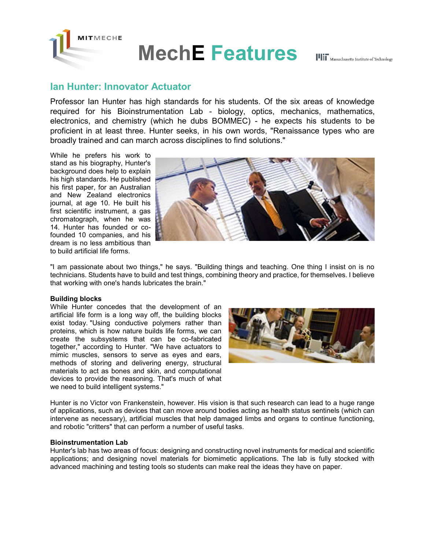

## **Ian Hunter: Innovator Actuator**

Professor Ian Hunter has high standards for his students. Of the six areas of knowledge required for his Bioinstrumentation Lab - biology, optics, mechanics, mathematics, electronics, and chemistry (which he dubs BOMMEC) - he expects his students to be proficient in at least three. Hunter seeks, in his own words, "Renaissance types who are broadly trained and can march across disciplines to find solutions."

While he prefers his work to stand as his biography, Hunter's background does help to explain his high standards. He published his first paper, for an Australian and New Zealand electronics journal, at age 10. He built his first scientific instrument, a gas chromatograph, when he was 14. Hunter has founded or cofounded 10 companies, and his dream is no less ambitious than to build artificial life forms.



"I am passionate about two things," he says. "Building things and teaching. One thing I insist on is no technicians. Students have to build and test things, combining theory and practice, for themselves. I believe that working with one's hands lubricates the brain."

## **Building blocks**

While Hunter concedes that the development of an artificial life form is a long way off, the building blocks exist today. "Using conductive polymers rather than proteins, which is how nature builds life forms, we can create the subsystems that can be co-fabricated together," according to Hunter. "We have actuators to mimic muscles, sensors to serve as eyes and ears, methods of storing and delivering energy, structural materials to act as bones and skin, and computational devices to provide the reasoning. That's much of what we need to build intelligent systems."



Hunter is no Victor von Frankenstein, however. His vision is that such research can lead to a huge range of applications, such as devices that can move around bodies acting as health status sentinels (which can intervene as necessary), artificial muscles that help damaged limbs and organs to continue functioning, and robotic "critters" that can perform a number of useful tasks.

## **Bioinstrumentation Lab**

Hunter's lab has two areas of focus: designing and constructing novel instruments for medical and scientific applications; and designing novel materials for biomimetic applications. The lab is fully stocked with advanced machining and testing tools so students can make real the ideas they have on paper.